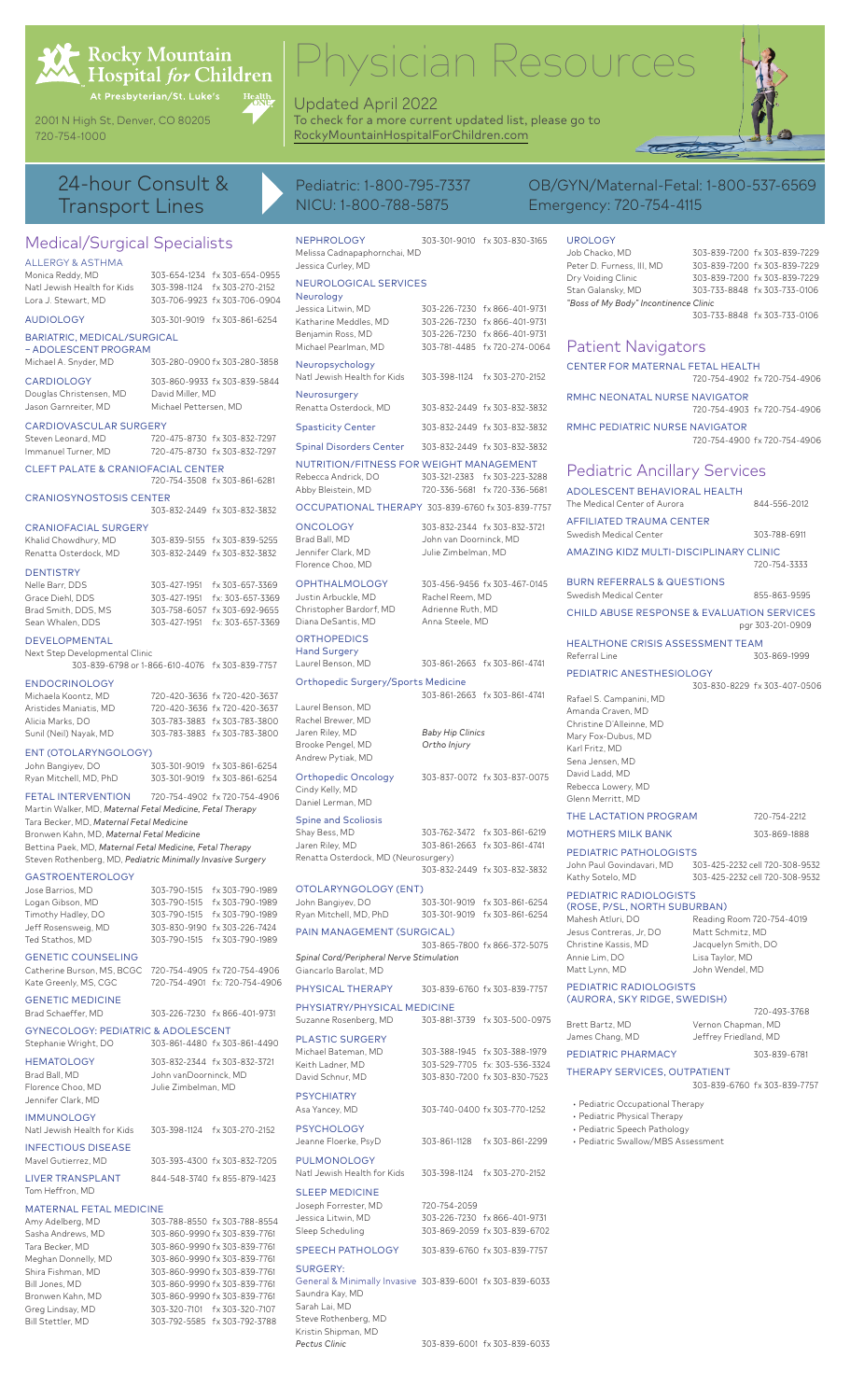

# Rocky Mountain<br>Hospital *for* Children

Health<br>40NH

2001 N High St, Denver, CO 80205

| <b>Transport Lines</b>                                                                                                                                                                                                                                                        |                                                                                                                              | NICU: 1-800-788-5875                                                                                                                      |                                                                                               | Emergency: 720-754-4115                                                                                                                |                                                           |                                                                                                                              |
|-------------------------------------------------------------------------------------------------------------------------------------------------------------------------------------------------------------------------------------------------------------------------------|------------------------------------------------------------------------------------------------------------------------------|-------------------------------------------------------------------------------------------------------------------------------------------|-----------------------------------------------------------------------------------------------|----------------------------------------------------------------------------------------------------------------------------------------|-----------------------------------------------------------|------------------------------------------------------------------------------------------------------------------------------|
| Medical/Surgical Specialists<br><b>ALLERGY &amp; ASTHMA</b><br>Monica Reddy, MD<br>Natl Jewish Health for Kids                                                                                                                                                                | 303-654-1234 fx 303-654-0955<br>303-398-1124 fx 303-270-2152                                                                 | <b>NEPHROLOGY</b><br>Melissa Cadnapaphornchai, MD<br>Jessica Curley, MD<br>NEUROLOGICAL SERVICES                                          | 303-301-9010 fx 303-830-3165                                                                  | <b>UROLOGY</b><br>Job Chacko, MD<br>Peter D. Furness, III, MD<br>Dry Voiding Clinic<br>Stan Galansky, MD                               |                                                           | 303-839-7200 fx 303-839-7229<br>303-839-7200 fx 303-839-7229<br>303-839-7200 fx 303-839-7229<br>303-733-8848 fx 303-733-0106 |
| Lora J. Stewart, MD<br><b>AUDIOLOGY</b>                                                                                                                                                                                                                                       | 303-706-9923 fx 303-706-0904<br>303-301-9019 fx 303-861-6254                                                                 | Neurology<br>Jessica Litwin, MD<br>Katharine Meddles, MD                                                                                  | 303-226-7230 fx 866-401-9731<br>303-226-7230 fx 866-401-9731                                  | "Boss of My Body" Incontinence Clinic                                                                                                  |                                                           | 303-733-8848 fx 303-733-0106                                                                                                 |
| BARIATRIC, MEDICAL/SURGICAL<br>- ADOLESCENT PROGRAM<br>Michael A. Snyder, MD                                                                                                                                                                                                  | 303-280-0900 fx 303-280-3858                                                                                                 | Benjamin Ross, MD<br>Michael Pearlman, MD                                                                                                 | 303-226-7230 fx 866-401-9731<br>303-781-4485 fx 720-274-0064                                  | <b>Patient Navigators</b>                                                                                                              |                                                           |                                                                                                                              |
| <b>CARDIOLOGY</b>                                                                                                                                                                                                                                                             | 303-860-9933 fx 303-839-5844<br>David Miller, MD                                                                             | Neuropsychology<br>Natl Jewish Health for Kids                                                                                            | 303-398-1124 fx 303-270-2152                                                                  | CENTER FOR MATERNAL FETAL HEALTH                                                                                                       |                                                           | 720-754-4902 fx 720-754-4906                                                                                                 |
| Douglas Christensen, MD<br>Jason Garnreiter, MD                                                                                                                                                                                                                               | Michael Pettersen, MD                                                                                                        | Neurosurgery<br>Renatta Osterdock, MD                                                                                                     | 303-832-2449 fx 303-832-3832                                                                  | RMHC NEONATAL NURSE NAVIGATOR                                                                                                          |                                                           | 720-754-4903 fx 720-754-4906                                                                                                 |
| CARDIOVASCULAR SURGERY<br>Steven Leonard, MD<br>Immanuel Turner, MD                                                                                                                                                                                                           | 720-475-8730 fx 303-832-7297<br>720-475-8730 fx 303-832-7297                                                                 | <b>Spasticity Center</b><br><b>Spinal Disorders Center</b>                                                                                | 303-832-2449 fx 303-832-3832<br>303-832-2449 fx 303-832-3832                                  | RMHC PEDIATRIC NURSE NAVIGATOR                                                                                                         |                                                           | 720-754-4900 fx 720-754-4906                                                                                                 |
| CLEFT PALATE & CRANIOFACIAL CENTER                                                                                                                                                                                                                                            | 720-754-3508 fx 303-861-6281                                                                                                 | NUTRITION/FITNESS FOR WEIGHT MANAGEMENT<br>Rebecca Andrick, DO                                                                            | 303-321-2383 fx 303-223-3288                                                                  | <b>Pediatric Ancillary Services</b>                                                                                                    |                                                           |                                                                                                                              |
| <b>CRANIOSYNOSTOSIS CENTER</b>                                                                                                                                                                                                                                                | 303-832-2449 fx 303-832-3832                                                                                                 | Abby Bleistein, MD<br>OCCUPATIONAL THERAPY 303-839-6760 fx 303-839-7757                                                                   | 720-336-5681 fx 720-336-5681                                                                  | ADOLESCENT BEHAVIORAL HEALTH<br>The Medical Center of Aurora<br>AFFILIATED TRAUMA CENTER                                               |                                                           | 844-556-2012                                                                                                                 |
| <b>CRANIOFACIAL SURGERY</b><br>Khalid Chowdhury, MD                                                                                                                                                                                                                           | 303-839-5155 fx 303-839-5255                                                                                                 | <b>ONCOLOGY</b><br>Brad Ball, MD<br>Jennifer Clark, MD                                                                                    | 303-832-2344 fx 303-832-3721<br>John van Doorninck, MD                                        | Swedish Medical Center<br>AMAZING KIDZ MULTI-DISCIPLINARY CLINIC                                                                       |                                                           | 303-788-6911                                                                                                                 |
| Renatta Osterdock, MD<br><b>DENTISTRY</b>                                                                                                                                                                                                                                     | 303-832-2449 fx 303-832-3832                                                                                                 | Florence Choo, MD<br><b>OPHTHALMOLOGY</b>                                                                                                 | Julie Zimbelman, MD<br>303-456-9456 fx 303-467-0145                                           | <b>BURN REFERRALS &amp; QUESTIONS</b>                                                                                                  |                                                           | 720-754-3333                                                                                                                 |
| Nelle Barr, DDS<br>Grace Diehl, DDS<br>Brad Smith, DDS, MS                                                                                                                                                                                                                    | fx 303-657-3369<br>303-427-1951<br>303-427-1951 fx: 303-657-3369<br>303-758-6057 fx 303-692-9655                             | Justin Arbuckle, MD<br>Christopher Bardorf, MD                                                                                            | Rachel Reem, MD<br>Adrienne Ruth, MD                                                          | Swedish Medical Center<br><b>CHILD ABUSE RESPONSE &amp; EVALUATION SERVICES</b>                                                        |                                                           | 855-863-9595                                                                                                                 |
| Sean Whalen, DDS<br><b>DEVELOPMENTAL</b>                                                                                                                                                                                                                                      | 303-427-1951 fx: 303-657-3369                                                                                                | Diana DeSantis, MD<br><b>ORTHOPEDICS</b>                                                                                                  | Anna Steele, MD                                                                               | <b>HEALTHONE CRISIS ASSESSMENT TEAM</b>                                                                                                |                                                           | pgr 303-201-0909                                                                                                             |
| Next Step Developmental Clinic                                                                                                                                                                                                                                                | 303-839-6798 or 1-866-610-4076 fx 303-839-7757                                                                               | <b>Hand Surgery</b><br>Laurel Benson, MD                                                                                                  | 303-861-2663 fx 303-861-4741                                                                  | Referral Line<br>PEDIATRIC ANESTHESIOLOGY                                                                                              |                                                           | 303-869-1999                                                                                                                 |
| <b>ENDOCRINOLOGY</b><br>Michaela Koontz, MD<br>Aristides Maniatis, MD<br>Alicia Marks, DO<br>Sunil (Neil) Nayak, MD<br>ENT (OTOLARYNGOLOGY)                                                                                                                                   | 720-420-3636 fx 720-420-3637<br>720-420-3636 fx 720-420-3637<br>303-783-3883 fx 303-783-3800<br>303-783-3883 fx 303-783-3800 | Orthopedic Surgery/Sports Medicine<br>Laurel Benson, MD<br>Rachel Brewer, MD<br>Jaren Riley, MD<br>Brooke Pengel, MD<br>Andrew Pytiak, MD | 303-861-2663 fx 303-861-4741<br><b>Baby Hip Clinics</b><br>Ortho Injury                       | Rafael S. Campanini, MD<br>Amanda Craven, MD<br>Christine D'Alleinne, MD<br>Mary Fox-Dubus, MD<br>Karl Fritz, MD                       |                                                           | 303-830-8229 fx 303-407-0506                                                                                                 |
| John Bangiyev, DO<br>Ryan Mitchell, MD, PhD<br><b>FETAL INTERVENTION</b>                                                                                                                                                                                                      | 303-301-9019 fx 303-861-6254<br>303-301-9019 fx 303-861-6254<br>720-754-4902 fx 720-754-4906                                 | <b>Orthopedic Oncology</b><br>Cindy Kelly, MD<br>Daniel Lerman, MD                                                                        | 303-837-0072 fx 303-837-0075                                                                  | Sena Jensen, MD<br>David Ladd, MD<br>Rebecca Lowery, MD<br>Glenn Merritt, MD                                                           |                                                           |                                                                                                                              |
| Martin Walker, MD, Maternal Fetal Medicine, Fetal Therapy<br>Tara Becker, MD, Maternal Fetal Medicine<br>Bronwen Kahn, MD, Maternal Fetal Medicine<br>Bettina Paek, MD, Maternal Fetal Medicine, Fetal Therapy<br>Steven Rothenberg, MD, Pediatric Minimally Invasive Surgery |                                                                                                                              | <b>Spine and Scoliosis</b><br>Shay Bess, MD<br>Jaren Riley, MD<br>Renatta Osterdock, MD (Neurosurgery)                                    | 303-762-3472 fx 303-861-6219<br>303-861-2663 fx 303-861-4741                                  | THE LACTATION PROGRAM<br><b>MOTHERS MILK BANK</b><br>PEDIATRIC PATHOLOGISTS                                                            |                                                           | 720-754-2212<br>303-869-1888                                                                                                 |
| <b>GASTROENTEROLOGY</b><br>Jose Barrios, MD                                                                                                                                                                                                                                   | 303-790-1515 fx 303-790-1989                                                                                                 | OTOLARYNGOLOGY (ENT)                                                                                                                      | 303-832-2449 fx 303-832-3832                                                                  | John Paul Govindavari, MD<br>Kathy Sotelo, MD                                                                                          |                                                           | 303-425-2232 cell 720-308-9532<br>303-425-2232 cell 720-308-9532                                                             |
| Logan Gibson, MD<br>Timothy Hadley, DO<br>Jeff Rosensweig, MD                                                                                                                                                                                                                 | 303-790-1515 fx 303-790-1989<br>303-790-1515 fx 303-790-1989<br>303-830-9190 fx 303-226-7424                                 | John Bangiyev, DO<br>Ryan Mitchell, MD, PhD<br>PAIN MANAGEMENT (SURGICAL)                                                                 | 303-301-9019 fx 303-861-6254<br>303-301-9019 fx 303-861-6254                                  | PEDIATRIC RADIOLOGISTS<br>(ROSE, P/SL, NORTH SUBURBAN)<br>Mahesh Atluri, DO<br>Jesus Contreras, Jr, DO                                 | Matt Schmitz, MD                                          | Reading Room 720-754-4019                                                                                                    |
| Ted Stathos, MD<br><b>GENETIC COUNSELING</b>                                                                                                                                                                                                                                  | 303-790-1515 fx 303-790-1989<br>Catherine Burson, MS, BCGC 720-754-4905 fx 720-754-4906                                      | Spinal Cord/Peripheral Nerve Stimulation<br>Giancarlo Barolat, MD                                                                         | 303-865-7800 fx 866-372-5075                                                                  | Christine Kassis, MD<br>Annie Lim, DO<br>Matt Lynn, MD                                                                                 | Jacquelyn Smith, DO<br>Lisa Taylor, MD<br>John Wendel, MD |                                                                                                                              |
| Kate Greenly, MS, CGC<br><b>GENETIC MEDICINE</b>                                                                                                                                                                                                                              | 720-754-4901 fx: 720-754-4906                                                                                                | PHYSICAL THERAPY<br>PHYSIATRY/PHYSICAL MEDICINE                                                                                           | 303-839-6760 fx 303-839-7757                                                                  | PEDIATRIC RADIOLOGISTS<br>(AURORA, SKY RIDGE, SWEDISH)                                                                                 |                                                           |                                                                                                                              |
| Brad Schaeffer, MD<br><b>GYNECOLOGY: PEDIATRIC &amp; ADOLESCENT</b>                                                                                                                                                                                                           | 303-226-7230 fx 866-401-9731                                                                                                 | Suzanne Rosenberg, MD<br><b>PLASTIC SURGERY</b>                                                                                           | 303-881-3739 fx 303-500-0975                                                                  | Brett Bartz, MD<br>James Chang, MD                                                                                                     | Vernon Chapman, MD<br>Jeffrey Friedland, MD               | 720-493-3768                                                                                                                 |
| Stephanie Wright, DO<br><b>HEMATOLOGY</b><br>Brad Ball, MD<br>Florence Choo, MD<br>Jennifer Clark, MD                                                                                                                                                                         | 303-861-4480 fx 303-861-4490<br>303-832-2344 fx 303-832-3721<br>John vanDoorninck, MD<br>Julie Zimbelman, MD                 | Michael Bateman, MD<br>Keith Ladner, MD<br>David Schnur, MD<br><b>PSYCHIATRY</b>                                                          | 303-388-1945 fx 303-388-1979<br>303-529-7705 fx: 303-536-3324<br>303-830-7200 fx 303-830-7523 | PEDIATRIC PHARMACY<br>THERAPY SERVICES, OUTPATIENT                                                                                     |                                                           | 303-839-6781<br>303-839-6760 fx 303-839-7757                                                                                 |
| <b>IMMUNOLOGY</b><br>Natl Jewish Health for Kids                                                                                                                                                                                                                              | 303-398-1124 fx 303-270-2152                                                                                                 | Asa Yancey, MD<br><b>PSYCHOLOGY</b><br>Jeanne Floerke, PsyD                                                                               | 303-740-0400 fx 303-770-1252<br>303-861-1128<br>fx 303-861-2299                               | • Pediatric Occupational Therapy<br>• Pediatric Physical Therapy<br>• Pediatric Speech Pathology<br>• Pediatric Swallow/MBS Assessment |                                                           |                                                                                                                              |
| <b>INFECTIOUS DISEASE</b><br>Mavel Gutierrez, MD                                                                                                                                                                                                                              | 303-393-4300 fx 303-832-7205                                                                                                 | PULMONOLOGY                                                                                                                               |                                                                                               |                                                                                                                                        |                                                           |                                                                                                                              |

| LIVER TRANSPLANT | 844-548-3740 fx 855-879-1423 |  |
|------------------|------------------------------|--|
| Tom Heffron, MD  |                              |  |

# sician Resources

## Updated April 2022

To check for a more current updated list, please go to 720-754-1000 [RockyMountainHospitalForChildren.com](https://rockymountainhospitalforchildren.com/) 

| <b>Medical/Surgical Specialists</b>                                                                                                                |                                                                                                                              | <b>NEPHROLOGY</b>                                                                             | 303-301-9010 fx 303-830-3165                                                                  | <b>UROLOGY</b>                                                           |                                                                                              |
|----------------------------------------------------------------------------------------------------------------------------------------------------|------------------------------------------------------------------------------------------------------------------------------|-----------------------------------------------------------------------------------------------|-----------------------------------------------------------------------------------------------|--------------------------------------------------------------------------|----------------------------------------------------------------------------------------------|
| <b>ALLERGY &amp; ASTHMA</b><br>Monica Reddy, MD                                                                                                    | 303-654-1234 fx 303-654-0955                                                                                                 | Melissa Cadnapaphornchai, MD<br>Jessica Curley, MD<br>NEUROLOGICAL SERVICES                   |                                                                                               | Job Chacko, MD<br>Peter D. Furness, III, MD<br>Dry Voiding Clinic        | 303-839-7200 fx 303-839-7229<br>303-839-7200 fx 303-839-7229<br>303-839-7200 fx 303-839-7229 |
| Natl Jewish Health for Kids<br>Lora J. Stewart, MD                                                                                                 | 303-398-1124 fx 303-270-2152<br>303-706-9923 fx 303-706-0904                                                                 | Neurology                                                                                     |                                                                                               | Stan Galansky, MD<br>"Boss of My Body" Incontinence Clinic               | 303-733-8848 fx 303-733-0106                                                                 |
| <b>AUDIOLOGY</b><br><b>BARIATRIC, MEDICAL/SURGICAL</b>                                                                                             | 303-301-9019 fx 303-861-6254                                                                                                 | Jessica Litwin, MD<br>Katharine Meddles, MD<br>Benjamin Ross, MD                              | 303-226-7230 fx 866-401-9731<br>303-226-7230 fx 866-401-9731<br>303-226-7230 fx 866-401-9731  |                                                                          | 303-733-8848 fx 303-733-0106                                                                 |
| - ADOLESCENT PROGRAM<br>Michael A. Snyder, MD                                                                                                      | 303-280-0900 fx 303-280-3858                                                                                                 | Michael Pearlman, MD                                                                          | 303-781-4485 fx 720-274-0064                                                                  | <b>Patient Navigators</b>                                                |                                                                                              |
| <b>CARDIOLOGY</b>                                                                                                                                  | 303-860-9933 fx 303-839-5844                                                                                                 | Neuropsychology<br>Natl Jewish Health for Kids                                                | 303-398-1124 fx 303-270-2152                                                                  | CENTER FOR MATERNAL FETAL HEALTH                                         | 720-754-4902 fx 720-754-4906                                                                 |
| Douglas Christensen, MD                                                                                                                            | David Miller, MD<br>Michael Pettersen, MD                                                                                    | Neurosurgery                                                                                  |                                                                                               | RMHC NEONATAL NURSE NAVIGATOR                                            |                                                                                              |
| Jason Garnreiter, MD<br><b>CARDIOVASCULAR SURGERY</b>                                                                                              |                                                                                                                              | Renatta Osterdock, MD<br><b>Spasticity Center</b>                                             | 303-832-2449 fx 303-832-3832<br>303-832-2449 fx 303-832-3832                                  | RMHC PEDIATRIC NURSE NAVIGATOR                                           | 720-754-4903 fx 720-754-4906                                                                 |
| Steven Leonard, MD                                                                                                                                 | 720-475-8730 fx 303-832-7297                                                                                                 | <b>Spinal Disorders Center</b>                                                                | 303-832-2449 fx 303-832-3832                                                                  |                                                                          | 720-754-4900 fx 720-754-4906                                                                 |
| Immanuel Turner, MD<br>CLEFT PALATE & CRANIOFACIAL CENTER                                                                                          | 720-475-8730 fx 303-832-7297                                                                                                 | NUTRITION/FITNESS FOR WEIGHT MANAGEMENT                                                       |                                                                                               |                                                                          |                                                                                              |
| <b>CRANIOSYNOSTOSIS CENTER</b>                                                                                                                     | 720-754-3508 fx 303-861-6281                                                                                                 | Rebecca Andrick, DO<br>Abby Bleistein, MD                                                     | 303-321-2383 fx 303-223-3288<br>720-336-5681 fx 720-336-5681                                  | <b>Pediatric Ancillary Services</b><br>ADOLESCENT BEHAVIORAL HEALTH      |                                                                                              |
|                                                                                                                                                    | 303-832-2449 fx 303-832-3832                                                                                                 | OCCUPATIONAL THERAPY 303-839-6760 fx 303-839-7757                                             |                                                                                               | The Medical Center of Aurora<br><b>AFFILIATED TRAUMA CENTER</b>          | 844-556-2012                                                                                 |
| <b>CRANIOFACIAL SURGERY</b><br>Khalid Chowdhury, MD<br>Renatta Osterdock, MD                                                                       | 303-839-5155 fx 303-839-5255<br>303-832-2449 fx 303-832-3832                                                                 | <b>ONCOLOGY</b><br>Brad Ball, MD<br>Jennifer Clark, MD                                        | 303-832-2344 fx 303-832-3721<br>John van Doorninck, MD<br>Julie Zimbelman, MD                 | Swedish Medical Center<br>AMAZING KIDZ MULTI-DISCIPLINARY CLINIC         | 303-788-6911                                                                                 |
| <b>DENTISTRY</b>                                                                                                                                   |                                                                                                                              | Florence Choo, MD                                                                             |                                                                                               |                                                                          | 720-754-3333                                                                                 |
| Nelle Barr, DDS<br>Grace Diehl, DDS                                                                                                                | 303-427-1951 fx 303-657-3369<br>303-427-1951 fx: 303-657-3369                                                                | <b>OPHTHALMOLOGY</b><br>Justin Arbuckle, MD                                                   | 303-456-9456 fx 303-467-0145<br>Rachel Reem, MD                                               | <b>BURN REFERRALS &amp; QUESTIONS</b><br>Swedish Medical Center          | 855-863-9595                                                                                 |
| Brad Smith, DDS, MS<br>Sean Whalen, DDS                                                                                                            | 303-758-6057 fx 303-692-9655<br>303-427-1951 fx: 303-657-3369                                                                | Christopher Bardorf, MD<br>Diana DeSantis, MD                                                 | Adrienne Ruth, MD<br>Anna Steele, MD                                                          |                                                                          | <b>CHILD ABUSE RESPONSE &amp; EVALUATION SERVICES</b><br>pgr 303-201-0909                    |
| <b>DEVELOPMENTAL</b><br>Next Step Developmental Clinic                                                                                             | 303-839-6798 or 1-866-610-4076 fx 303-839-7757                                                                               | <b>ORTHOPEDICS</b><br><b>Hand Surgery</b><br>Laurel Benson, MD                                | 303-861-2663 fx 303-861-4741                                                                  | <b>HEALTHONE CRISIS ASSESSMENT TEAM</b><br>Referral Line                 | 303-869-1999                                                                                 |
| <b>ENDOCRINOLOGY</b>                                                                                                                               |                                                                                                                              | <b>Orthopedic Surgery/Sports Medicine</b>                                                     |                                                                                               | PEDIATRIC ANESTHESIOLOGY                                                 | 303-830-8229 fx 303-407-0506                                                                 |
| Michaela Koontz, MD<br>Aristides Maniatis, MD<br>Alicia Marks, DO                                                                                  | 720-420-3636 fx 720-420-3637<br>720-420-3636 fx 720-420-3637<br>303-783-3883 fx 303-783-3800                                 | Laurel Benson, MD<br>Rachel Brewer, MD                                                        | 303-861-2663 fx 303-861-4741                                                                  | Rafael S. Campanini, MD<br>Amanda Craven, MD<br>Christine D'Alleinne, MD |                                                                                              |
| Sunil (Neil) Nayak, MD<br>ENT (OTOLARYNGOLOGY)                                                                                                     | 303-783-3883 fx 303-783-3800                                                                                                 | Jaren Riley, MD<br>Brooke Pengel, MD<br>Andrew Pytiak, MD                                     | <b>Baby Hip Clinics</b><br>Ortho Injury                                                       | Mary Fox-Dubus, MD<br>Karl Fritz, MD<br>Sena Jensen, MD                  |                                                                                              |
| John Bangiyev, DO<br>Ryan Mitchell, MD, PhD<br><b>FETAL INTERVENTION</b>                                                                           | 303-301-9019 fx 303-861-6254<br>303-301-9019 fx 303-861-6254<br>720-754-4902 fx 720-754-4906                                 | <b>Orthopedic Oncology</b><br>Cindy Kelly, MD                                                 | 303-837-0072 fx 303-837-0075                                                                  | David Ladd, MD<br>Rebecca Lowery, MD<br>Glenn Merritt, MD                |                                                                                              |
| Martin Walker, MD, Maternal Fetal Medicine, Fetal Therapy<br>Tara Becker, MD, Maternal Fetal Medicine                                              |                                                                                                                              | Daniel Lerman, MD<br><b>Spine and Scoliosis</b>                                               |                                                                                               | THE LACTATION PROGRAM                                                    | 720-754-2212                                                                                 |
| Bronwen Kahn, MD, Maternal Fetal Medicine                                                                                                          |                                                                                                                              | Shay Bess, MD                                                                                 | 303-762-3472 fx 303-861-6219                                                                  | <b>MOTHERS MILK BANK</b>                                                 | 303-869-1888                                                                                 |
| Bettina Paek, MD, Maternal Fetal Medicine, Fetal Therapy<br>Steven Rothenberg, MD, Pediatric Minimally Invasive Surgery<br><b>GASTROENTEROLOGY</b> |                                                                                                                              | Jaren Riley, MD<br>Renatta Osterdock, MD (Neurosurgery)                                       | 303-861-2663 fx 303-861-4741<br>303-832-2449 fx 303-832-3832                                  | PEDIATRIC PATHOLOGISTS<br>John Paul Govindavari, MD                      | 303-425-2232 cell 720-308-9532<br>303-425-2232 cell 720-308-9532                             |
| Jose Barrios, MD                                                                                                                                   | 303-790-1515 fx 303-790-1989                                                                                                 | OTOLARYNGOLOGY (ENT)                                                                          |                                                                                               | Kathy Sotelo, MD<br>PEDIATRIC RADIOLOGISTS                               |                                                                                              |
| Logan Gibson, MD<br>Timothy Hadley, DO<br>Jeff Rosensweig, MD                                                                                      | 303-790-1515 fx 303-790-1989<br>303-790-1515 fx 303-790-1989<br>303-830-9190 fx 303-226-7424                                 | John Bangiyev, DO<br>Ryan Mitchell, MD, PhD                                                   | 303-301-9019 fx 303-861-6254<br>303-301-9019 fx 303-861-6254                                  | (ROSE, P/SL, NORTH SUBURBAN)<br>Mahesh Atluri, DO                        | Reading Room 720-754-4019                                                                    |
| Ted Stathos, MD<br><b>GENETIC COUNSELING</b>                                                                                                       | 303-790-1515 fx 303-790-1989                                                                                                 | PAIN MANAGEMENT (SURGICAL)                                                                    | 303-865-7800 fx 866-372-5075                                                                  | Jesus Contreras, Jr, DO<br>Christine Kassis, MD<br>Annie Lim, DO         | Matt Schmitz, MD<br>Jacquelyn Smith, DO<br>Lisa Taylor, MD                                   |
| Catherine Burson, MS, BCGC<br>Kate Greenly, MS, CGC                                                                                                | 720-754-4905 fx 720-754-4906<br>720-754-4901 fx: 720-754-4906                                                                | Spinal Cord/Peripheral Nerve Stimulation<br>Giancarlo Barolat, MD                             |                                                                                               | Matt Lynn, MD                                                            | John Wendel, MD                                                                              |
| <b>GENETIC MEDICINE</b>                                                                                                                            |                                                                                                                              | PHYSICAL THERAPY<br>PHYSIATRY/PHYSICAL MEDICINE                                               | 303-839-6760 fx 303-839-7757                                                                  | PEDIATRIC RADIOLOGISTS<br>(AURORA, SKY RIDGE, SWEDISH)                   |                                                                                              |
| Brad Schaeffer, MD                                                                                                                                 | 303-226-7230 fx 866-401-9731                                                                                                 | Suzanne Rosenberg, MD                                                                         | 303-881-3739 fx 303-500-0975                                                                  | Brett Bartz, MD                                                          | 720-493-3768<br>Vernon Chapman, MD                                                           |
| <b>GYNECOLOGY: PEDIATRIC &amp; ADOLESCENT</b><br>Stephanie Wright, DO                                                                              | 303-861-4480 fx 303-861-4490                                                                                                 | <b>PLASTIC SURGERY</b>                                                                        |                                                                                               | James Chang, MD                                                          | Jeffrey Friedland, MD                                                                        |
| <b>HEMATOLOGY</b><br>Brad Ball, MD                                                                                                                 | 303-832-2344 fx 303-832-3721<br>John vanDoorninck, MD                                                                        | Michael Bateman, MD<br>Keith Ladner, MD<br>David Schnur, MD                                   | 303-388-1945 fx 303-388-1979<br>303-529-7705 fx: 303-536-3324<br>303-830-7200 fx 303-830-7523 | PEDIATRIC PHARMACY<br><b>THERAPY SERVICES, OUTPATIENT</b>                | 303-839-6781                                                                                 |
| Florence Choo, MD<br>Jennifer Clark, MD<br><b>IMMUNOLOGY</b>                                                                                       | Julie Zimbelman, MD                                                                                                          | <b>PSYCHIATRY</b><br>Asa Yancey, MD                                                           | 303-740-0400 fx 303-770-1252                                                                  | • Pediatric Occupational Therapy<br>• Pediatric Physical Therapy         | 303-839-6760 fx 303-839-7757                                                                 |
| Natl Jewish Health for Kids                                                                                                                        | 303-398-1124 fx 303-270-2152                                                                                                 | <b>PSYCHOLOGY</b>                                                                             |                                                                                               | • Pediatric Speech Pathology                                             |                                                                                              |
| <b>INFECTIOUS DISEASE</b><br>Mavel Gutierrez, MD                                                                                                   | 303-393-4300 fx 303-832-7205                                                                                                 | Jeanne Floerke, PsyD<br>PULMONOLOGY                                                           | 303-861-1128 fx 303-861-2299                                                                  | • Pediatric Swallow/MBS Assessment                                       |                                                                                              |
| <b>LIVER TRANSPLANT</b><br>Tom Heffron, MD                                                                                                         | 844-548-3740 fx 855-879-1423                                                                                                 | Natl Jewish Health for Kids<br><b>SLEEP MEDICINE</b>                                          | 303-398-1124 fx 303-270-2152                                                                  |                                                                          |                                                                                              |
| <b>MATERNAL FETAL MEDICINE</b><br>Amy Adelberg, MD                                                                                                 | 303-788-8550 fx 303-788-8554                                                                                                 | Joseph Forrester, MD<br>Jessica Litwin, MD                                                    | 720-754-2059<br>303-226-7230 fx 866-401-9731                                                  |                                                                          |                                                                                              |
| Sasha Andrews, MD<br>Tara Becker, MD                                                                                                               | 303-860-9990 fx 303-839-7761<br>303-860-9990 fx 303-839-7761                                                                 | Sleep Scheduling<br><b>SPEECH PATHOLOGY</b>                                                   | 303-869-2059 fx 303-839-6702<br>303-839-6760 fx 303-839-7757                                  |                                                                          |                                                                                              |
| Meghan Donnelly, MD                                                                                                                                | 303-860-9990 fx 303-839-7761                                                                                                 | <b>SURGERY:</b>                                                                               |                                                                                               |                                                                          |                                                                                              |
| Shira Fishman, MD<br>Bill Jones, MD<br>Bronwen Kahn, MD<br>Greg Lindsay, MD                                                                        | 303-860-9990 fx 303-839-7761<br>303-860-9990 fx 303-839-7761<br>303-860-9990 fx 303-839-7761<br>303-320-7101 fx 303-320-7107 | General & Minimally Invasive 303-839-6001 fx 303-839-6033<br>Saundra Kay, MD<br>Sarah Lai, MD |                                                                                               |                                                                          |                                                                                              |
| Bill Stettler, MD                                                                                                                                  | 303-792-5585 fx 303-792-3788                                                                                                 | Steve Rothenberg, MD<br>Kristin Shipman, MD<br>Pectus Clinic                                  | 303-839-6001 fx 303-839-6033                                                                  |                                                                          |                                                                                              |
|                                                                                                                                                    |                                                                                                                              |                                                                                               |                                                                                               |                                                                          |                                                                                              |

## 24-hour Consult & Pediatric: 1-800-795-7337 OB/GYN/Maternal-Fetal: 1-800-537-6569 NICU: 1-800-788-5875 Emergency: 720-754-4115

 $\sigma_z$ 

| Job Chacko, MD                        | 505-859-7700 TX 505-859-7779 |
|---------------------------------------|------------------------------|
| Peter D. Furness, III, MD             | 303-839-7200 fx 303-839-7229 |
| Dry Voiding Clinic                    | 303-839-7200 fx 303-839-7229 |
| Stan Galansky, MD                     | 303-733-8848 fx 303-733-0106 |
| "Boss of My Body" Incontinence Clinic |                              |
|                                       | 303-733-8848 fx 303-733-0106 |
|                                       |                              |
|                                       |                              |

| <b>Patient Navigators</b>                                                                                                                                                                        |                                                                  |
|--------------------------------------------------------------------------------------------------------------------------------------------------------------------------------------------------|------------------------------------------------------------------|
| CENTER FOR MATERNAL FETAL HEALTH                                                                                                                                                                 | 720-754-4902 fx 720-754-4906                                     |
| RMHC NEONATAL NURSE NAVIGATOR                                                                                                                                                                    | 720-754-4903 fx 720-754-4906                                     |
| RMHC PEDIATRIC NURSE NAVIGATOR                                                                                                                                                                   | 720-754-4900 fx 720-754-4906                                     |
| <b>Pediatric Ancillary Services</b>                                                                                                                                                              |                                                                  |
| <b>ADOLESCENT BEHAVIORAL HEALTH</b><br>The Medical Center of Aurora                                                                                                                              | 844-556-2012                                                     |
| <b>AFFILIATED TRAUMA CENTER</b><br>Swedish Medical Center                                                                                                                                        | 303-788-6911                                                     |
| AMAZING KIDZ MULTI-DISCIPLINARY CLINIC                                                                                                                                                           | 720-754-3333                                                     |
| <b>BURN REFERRALS &amp; QUESTIONS</b><br>Swedish Medical Center                                                                                                                                  | 855-863-9595                                                     |
| <b>CHILD ABUSE RESPONSE &amp; EVALUATION SERVICES</b>                                                                                                                                            | pgr 303-201-0909                                                 |
| <b>HEALTHONE CRISIS ASSESSMENT TEAM</b><br>Referral Line                                                                                                                                         | 303-869-1999                                                     |
| PEDIATRIC ANESTHESIOLOGY                                                                                                                                                                         | 303-830-8229 fx 303-407-0506                                     |
| Rafael S. Campanini, MD<br>Amanda Craven, MD<br>Christine D'Alleinne, MD<br>Mary Fox-Dubus, MD<br>Karl Fritz, MD<br>Sena Jensen, MD<br>David Ladd, MD<br>Rebecca Lowery, MD<br>Glenn Merritt, MD |                                                                  |
| THE LACTATION PROGRAM                                                                                                                                                                            | 720-754-2212                                                     |
| <b>MOTHERS MILK BANK</b>                                                                                                                                                                         | 303-869-1888                                                     |
| PEDIATRIC PATHOLOGISTS<br>John Paul Govindavari, MD<br>Kathy Sotelo, MD                                                                                                                          | 303-425-2232 cell 720-308-9532<br>303-425-2232 cell 720-308-9532 |

| Mahesh Atluri. DO       |  |
|-------------------------|--|
| Jesus Contreras. Jr. DO |  |
| Christine Kassis, MD    |  |
| Annie Lim. DO           |  |
| Matt Lynn, MD           |  |
| DENIATDIC DANIAI ACIO   |  |

|                    | 720-493-37            |
|--------------------|-----------------------|
| Brett Bartz. MD    | Vernon Chapman, MD    |
| James Chang, MD    | Jeffrey Friedland, MD |
| PEDIATRIC PHARMACY | 303-839-67            |

- 303-839-6760 fx 303-839-7757
- 
- 
- 
- 
-